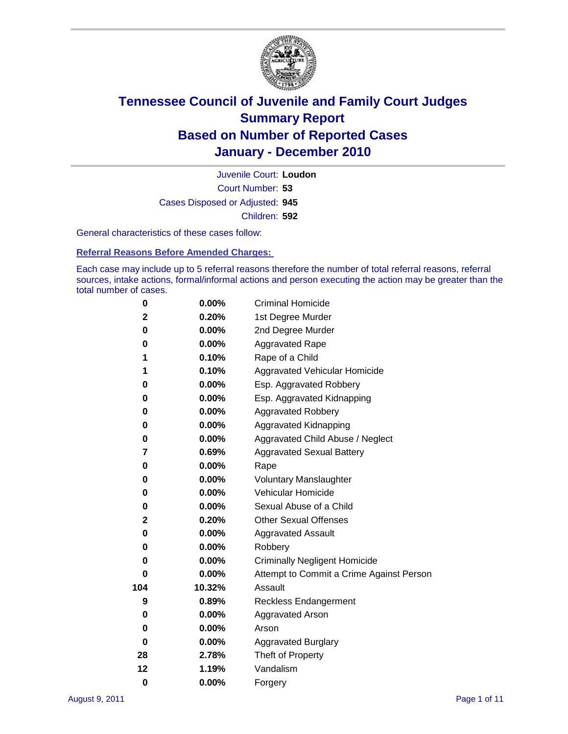

Court Number: **53** Juvenile Court: **Loudon** Cases Disposed or Adjusted: **945** Children: **592**

General characteristics of these cases follow:

**Referral Reasons Before Amended Charges:** 

Each case may include up to 5 referral reasons therefore the number of total referral reasons, referral sources, intake actions, formal/informal actions and person executing the action may be greater than the total number of cases.

| 0        | $0.00\%$ | <b>Criminal Homicide</b>                 |
|----------|----------|------------------------------------------|
| 2        | 0.20%    | 1st Degree Murder                        |
| 0        | $0.00\%$ | 2nd Degree Murder                        |
| 0        | 0.00%    | <b>Aggravated Rape</b>                   |
| 1        | 0.10%    | Rape of a Child                          |
| 1        | 0.10%    | Aggravated Vehicular Homicide            |
| 0        | 0.00%    | Esp. Aggravated Robbery                  |
| 0        | $0.00\%$ | Esp. Aggravated Kidnapping               |
| 0        | $0.00\%$ | <b>Aggravated Robbery</b>                |
| 0        | $0.00\%$ | Aggravated Kidnapping                    |
| 0        | 0.00%    | Aggravated Child Abuse / Neglect         |
| 7        | 0.69%    | <b>Aggravated Sexual Battery</b>         |
| 0        | 0.00%    | Rape                                     |
| 0        | $0.00\%$ | <b>Voluntary Manslaughter</b>            |
| 0        | 0.00%    | Vehicular Homicide                       |
| 0        | 0.00%    | Sexual Abuse of a Child                  |
| 2        | 0.20%    | <b>Other Sexual Offenses</b>             |
| 0        | 0.00%    | <b>Aggravated Assault</b>                |
| 0        | $0.00\%$ | Robbery                                  |
| 0        | 0.00%    | <b>Criminally Negligent Homicide</b>     |
| 0        | $0.00\%$ | Attempt to Commit a Crime Against Person |
| 104      | 10.32%   | Assault                                  |
| 9        | 0.89%    | <b>Reckless Endangerment</b>             |
| 0        | 0.00%    | <b>Aggravated Arson</b>                  |
| 0        | 0.00%    | Arson                                    |
| 0        | $0.00\%$ | <b>Aggravated Burglary</b>               |
| 28       | 2.78%    | Theft of Property                        |
| 12       | 1.19%    | Vandalism                                |
| $\bf{0}$ | 0.00%    | Forgery                                  |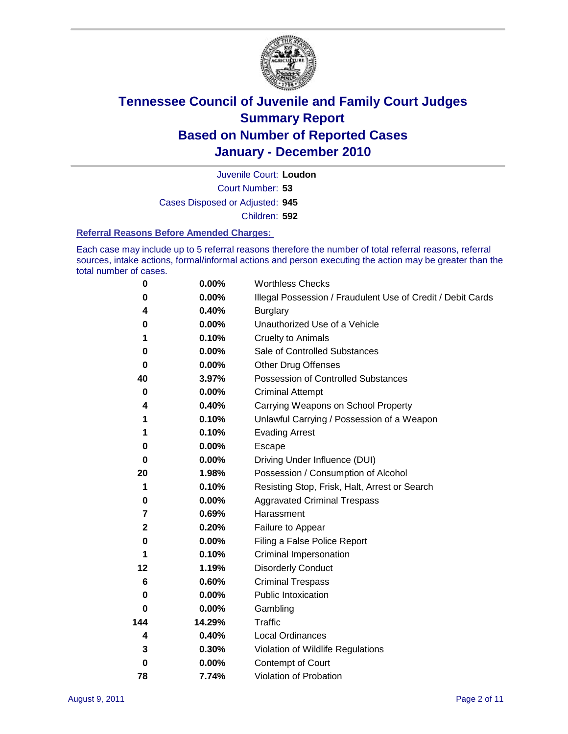

Court Number: **53** Juvenile Court: **Loudon** Cases Disposed or Adjusted: **945** Children: **592**

#### **Referral Reasons Before Amended Charges:**

Each case may include up to 5 referral reasons therefore the number of total referral reasons, referral sources, intake actions, formal/informal actions and person executing the action may be greater than the total number of cases.

| $\pmb{0}$   | 0.00%    | <b>Worthless Checks</b>                                     |
|-------------|----------|-------------------------------------------------------------|
| 0           | 0.00%    | Illegal Possession / Fraudulent Use of Credit / Debit Cards |
| 4           | 0.40%    | <b>Burglary</b>                                             |
| 0           | 0.00%    | Unauthorized Use of a Vehicle                               |
| 1           | 0.10%    | <b>Cruelty to Animals</b>                                   |
| 0           | 0.00%    | Sale of Controlled Substances                               |
| $\bf{0}$    | $0.00\%$ | <b>Other Drug Offenses</b>                                  |
| 40          | 3.97%    | Possession of Controlled Substances                         |
| 0           | $0.00\%$ | <b>Criminal Attempt</b>                                     |
| 4           | 0.40%    | Carrying Weapons on School Property                         |
| 1           | 0.10%    | Unlawful Carrying / Possession of a Weapon                  |
| 1           | 0.10%    | <b>Evading Arrest</b>                                       |
| 0           | 0.00%    | Escape                                                      |
| 0           | 0.00%    | Driving Under Influence (DUI)                               |
| 20          | 1.98%    | Possession / Consumption of Alcohol                         |
| 1           | 0.10%    | Resisting Stop, Frisk, Halt, Arrest or Search               |
| 0           | $0.00\%$ | <b>Aggravated Criminal Trespass</b>                         |
| 7           | 0.69%    | Harassment                                                  |
| $\mathbf 2$ | 0.20%    | Failure to Appear                                           |
| 0           | $0.00\%$ | Filing a False Police Report                                |
| 1           | 0.10%    | Criminal Impersonation                                      |
| 12          | 1.19%    | <b>Disorderly Conduct</b>                                   |
| 6           | 0.60%    | <b>Criminal Trespass</b>                                    |
| $\bf{0}$    | $0.00\%$ | Public Intoxication                                         |
| 0           | $0.00\%$ | Gambling                                                    |
| 144         | 14.29%   | Traffic                                                     |
| 4           | 0.40%    | Local Ordinances                                            |
| 3           | 0.30%    | Violation of Wildlife Regulations                           |
| 0           | $0.00\%$ | Contempt of Court                                           |
| 78          | 7.74%    | Violation of Probation                                      |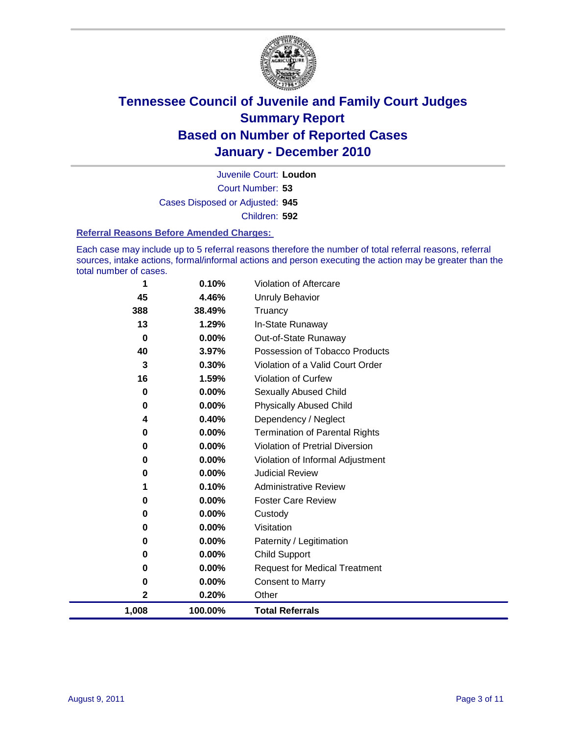

Court Number: **53** Juvenile Court: **Loudon** Cases Disposed or Adjusted: **945** Children: **592**

#### **Referral Reasons Before Amended Charges:**

Each case may include up to 5 referral reasons therefore the number of total referral reasons, referral sources, intake actions, formal/informal actions and person executing the action may be greater than the total number of cases.

| 1        | 0.10%   | Violation of Aftercare                 |
|----------|---------|----------------------------------------|
| 45       | 4.46%   | <b>Unruly Behavior</b>                 |
| 388      | 38.49%  | Truancy                                |
| 13       | 1.29%   | In-State Runaway                       |
| $\bf{0}$ | 0.00%   | Out-of-State Runaway                   |
| 40       | 3.97%   | Possession of Tobacco Products         |
| 3        | 0.30%   | Violation of a Valid Court Order       |
| 16       | 1.59%   | Violation of Curfew                    |
| 0        | 0.00%   | <b>Sexually Abused Child</b>           |
| 0        | 0.00%   | <b>Physically Abused Child</b>         |
| 4        | 0.40%   | Dependency / Neglect                   |
| 0        | 0.00%   | Termination of Parental Rights         |
| 0        | 0.00%   | <b>Violation of Pretrial Diversion</b> |
| 0        | 0.00%   | Violation of Informal Adjustment       |
| 0        | 0.00%   | <b>Judicial Review</b>                 |
|          | 0.10%   | <b>Administrative Review</b>           |
| 0        | 0.00%   | <b>Foster Care Review</b>              |
| 0        | 0.00%   | Custody                                |
| 0        | 0.00%   | Visitation                             |
| 0        | 0.00%   | Paternity / Legitimation               |
| 0        | 0.00%   | <b>Child Support</b>                   |
| 0        | 0.00%   | <b>Request for Medical Treatment</b>   |
| 0        | 0.00%   | <b>Consent to Marry</b>                |
| 2        | 0.20%   | Other                                  |
| 1,008    | 100.00% | <b>Total Referrals</b>                 |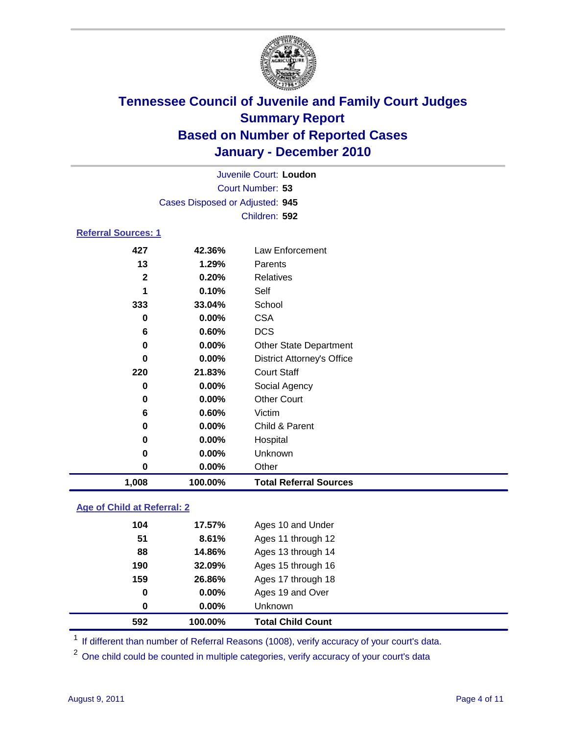

|                                 |         | Juvenile Court: Loudon            |  |
|---------------------------------|---------|-----------------------------------|--|
| Court Number: 53                |         |                                   |  |
| Cases Disposed or Adjusted: 945 |         |                                   |  |
|                                 |         | Children: 592                     |  |
| <b>Referral Sources: 1</b>      |         |                                   |  |
| 427                             | 42.36%  | Law Enforcement                   |  |
| 13                              | 1.29%   | Parents                           |  |
| $\mathbf{2}$                    | 0.20%   | <b>Relatives</b>                  |  |
| 1                               | 0.10%   | Self                              |  |
| 333                             | 33.04%  | School                            |  |
| 0                               | 0.00%   | <b>CSA</b>                        |  |
| 6                               | 0.60%   | <b>DCS</b>                        |  |
| $\bf{0}$                        | 0.00%   | <b>Other State Department</b>     |  |
| 0                               | 0.00%   | <b>District Attorney's Office</b> |  |
| 220                             | 21.83%  | <b>Court Staff</b>                |  |
| $\bf{0}$                        | 0.00%   | Social Agency                     |  |
| 0                               | 0.00%   | <b>Other Court</b>                |  |
| 6                               | 0.60%   | Victim                            |  |
| $\bf{0}$                        | 0.00%   | Child & Parent                    |  |
| 0                               | 0.00%   | Hospital                          |  |
| 0                               | 0.00%   | Unknown                           |  |
| 0                               | 0.00%   | Other                             |  |
| 1,008                           | 100.00% | <b>Total Referral Sources</b>     |  |
|                                 |         |                                   |  |

### **Age of Child at Referral: 2**

| 0   | 0.00%  | <b>Unknown</b>     |
|-----|--------|--------------------|
| 0   | 0.00%  | Ages 19 and Over   |
| 159 | 26.86% | Ages 17 through 18 |
| 190 | 32.09% | Ages 15 through 16 |
| 88  | 14.86% | Ages 13 through 14 |
| 51  | 8.61%  | Ages 11 through 12 |
| 104 | 17.57% | Ages 10 and Under  |
|     |        |                    |

<sup>1</sup> If different than number of Referral Reasons (1008), verify accuracy of your court's data.

<sup>2</sup> One child could be counted in multiple categories, verify accuracy of your court's data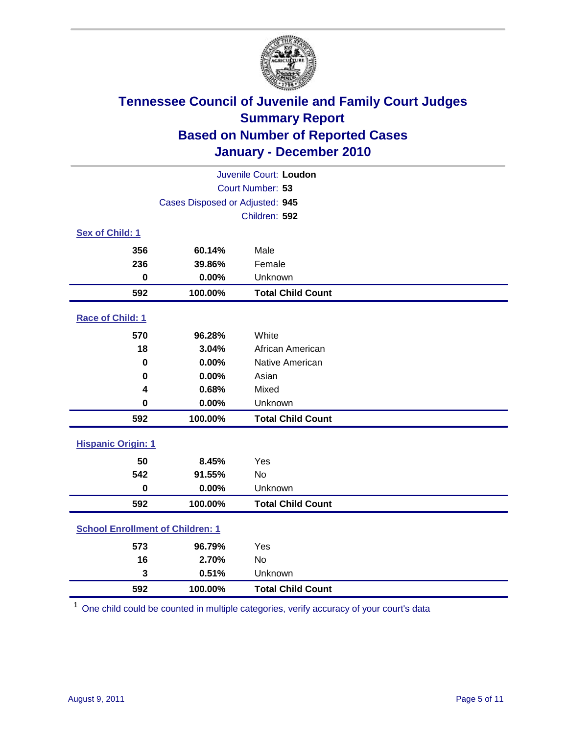

| Juvenile Court: Loudon                  |                                 |                          |  |  |
|-----------------------------------------|---------------------------------|--------------------------|--|--|
| Court Number: 53                        |                                 |                          |  |  |
|                                         | Cases Disposed or Adjusted: 945 |                          |  |  |
|                                         |                                 | Children: 592            |  |  |
| Sex of Child: 1                         |                                 |                          |  |  |
| 356                                     | 60.14%                          | Male                     |  |  |
| 236                                     | 39.86%                          | Female                   |  |  |
| $\mathbf 0$                             | 0.00%                           | Unknown                  |  |  |
| 592                                     | 100.00%                         | <b>Total Child Count</b> |  |  |
| Race of Child: 1                        |                                 |                          |  |  |
| 570                                     | 96.28%                          | White                    |  |  |
| 18                                      | 3.04%                           | African American         |  |  |
| 0                                       | 0.00%                           | Native American          |  |  |
| 0                                       | 0.00%                           | Asian                    |  |  |
| 4                                       | 0.68%                           | Mixed                    |  |  |
| $\mathbf 0$                             | 0.00%                           | Unknown                  |  |  |
| 592                                     | 100.00%                         | <b>Total Child Count</b> |  |  |
| <b>Hispanic Origin: 1</b>               |                                 |                          |  |  |
| 50                                      | 8.45%                           | Yes                      |  |  |
| 542                                     | 91.55%                          | No                       |  |  |
| $\mathbf 0$                             | 0.00%                           | Unknown                  |  |  |
| 592                                     | 100.00%                         | <b>Total Child Count</b> |  |  |
| <b>School Enrollment of Children: 1</b> |                                 |                          |  |  |
| 573                                     | 96.79%                          | Yes                      |  |  |
| 16                                      | 2.70%                           | No                       |  |  |
| 3                                       | 0.51%                           | Unknown                  |  |  |
| 592                                     | 100.00%                         | <b>Total Child Count</b> |  |  |

One child could be counted in multiple categories, verify accuracy of your court's data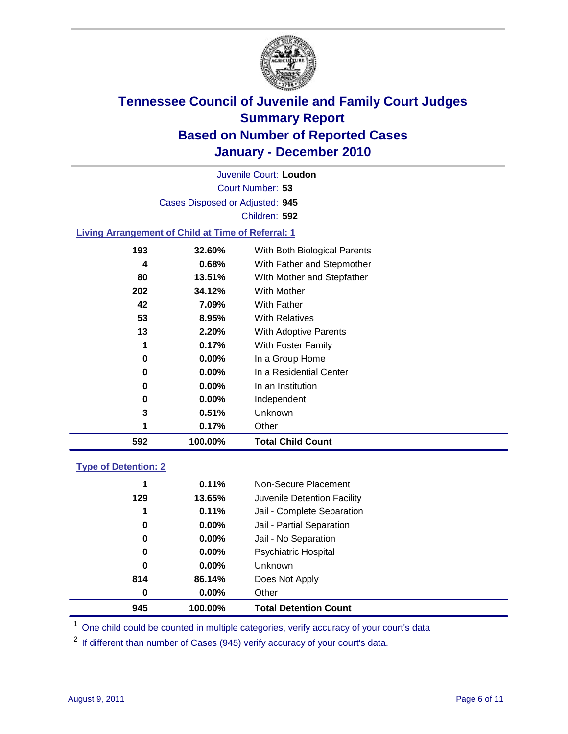

Court Number: **53** Juvenile Court: **Loudon** Cases Disposed or Adjusted: **945** Children: **592**

### **Living Arrangement of Child at Time of Referral: 1**

|     | 0.17%    | Other                        |
|-----|----------|------------------------------|
| 3   | 0.51%    | Unknown                      |
| 0   | $0.00\%$ | Independent                  |
| 0   | 0.00%    | In an Institution            |
| 0   | $0.00\%$ | In a Residential Center      |
| 0   | $0.00\%$ | In a Group Home              |
|     | 0.17%    | With Foster Family           |
| 13  | 2.20%    | With Adoptive Parents        |
| 53  | 8.95%    | <b>With Relatives</b>        |
| 42  | 7.09%    | With Father                  |
| 202 | 34.12%   | With Mother                  |
| 80  | 13.51%   | With Mother and Stepfather   |
| 4   | 0.68%    | With Father and Stepmother   |
| 193 | 32.60%   | With Both Biological Parents |
|     |          |                              |

### **Type of Detention: 2**

| 945 | 100.00%  | <b>Total Detention Count</b> |  |
|-----|----------|------------------------------|--|
| 0   | $0.00\%$ | Other                        |  |
| 814 | 86.14%   | Does Not Apply               |  |
| 0   | $0.00\%$ | Unknown                      |  |
| 0   | $0.00\%$ | Psychiatric Hospital         |  |
| 0   | 0.00%    | Jail - No Separation         |  |
| 0   | $0.00\%$ | Jail - Partial Separation    |  |
| 1   | 0.11%    | Jail - Complete Separation   |  |
| 129 | 13.65%   | Juvenile Detention Facility  |  |
| 1   | 0.11%    | Non-Secure Placement         |  |
|     |          |                              |  |

<sup>1</sup> One child could be counted in multiple categories, verify accuracy of your court's data

<sup>2</sup> If different than number of Cases (945) verify accuracy of your court's data.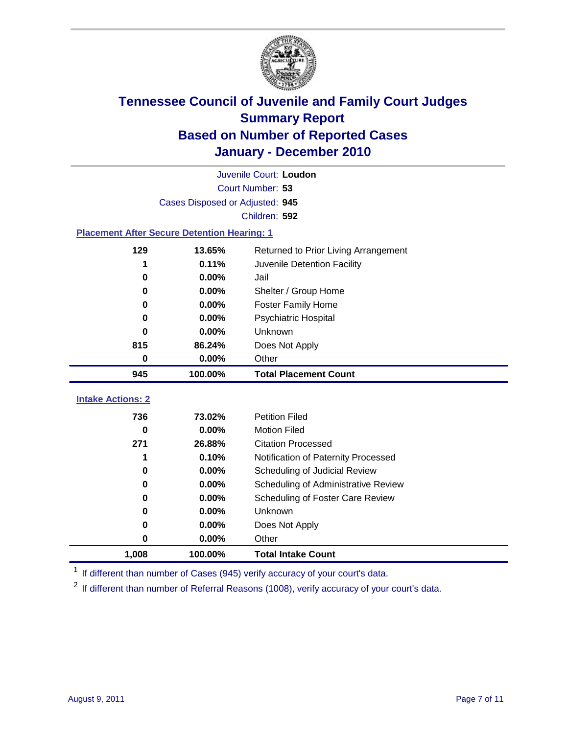

|                                                    |                                 | Juvenile Court: Loudon               |
|----------------------------------------------------|---------------------------------|--------------------------------------|
|                                                    |                                 | Court Number: 53                     |
|                                                    | Cases Disposed or Adjusted: 945 |                                      |
|                                                    |                                 | Children: 592                        |
| <b>Placement After Secure Detention Hearing: 1</b> |                                 |                                      |
| 129                                                | 13.65%                          | Returned to Prior Living Arrangement |
| 1                                                  | 0.11%                           | Juvenile Detention Facility          |
| 0                                                  | 0.00%                           | Jail                                 |
| $\bf{0}$                                           | 0.00%                           | Shelter / Group Home                 |
| $\bf{0}$                                           | 0.00%                           | <b>Foster Family Home</b>            |
| $\bf{0}$                                           | 0.00%                           | <b>Psychiatric Hospital</b>          |
| 0                                                  | 0.00%                           | Unknown                              |
| 815                                                | 86.24%                          | Does Not Apply                       |
| 0                                                  | 0.00%                           | Other                                |
| 945                                                | 100.00%                         | <b>Total Placement Count</b>         |
|                                                    |                                 |                                      |
| <b>Intake Actions: 2</b>                           |                                 |                                      |
| 736                                                | 73.02%                          | <b>Petition Filed</b>                |
| $\bf{0}$                                           | 0.00%                           | <b>Motion Filed</b>                  |
| 271                                                | 26.88%                          | <b>Citation Processed</b>            |
| 1                                                  | 0.10%                           | Notification of Paternity Processed  |
| 0                                                  | 0.00%                           | Scheduling of Judicial Review        |
| 0                                                  | 0.00%                           | Scheduling of Administrative Review  |
| 0                                                  | 0.00%                           | Scheduling of Foster Care Review     |
| 0                                                  | 0.00%                           | Unknown                              |
| $\bf{0}$                                           | 0.00%                           | Does Not Apply                       |
| 0                                                  | 0.00%                           | Other                                |
| 1,008                                              | 100.00%                         | <b>Total Intake Count</b>            |

<sup>1</sup> If different than number of Cases (945) verify accuracy of your court's data.

<sup>2</sup> If different than number of Referral Reasons (1008), verify accuracy of your court's data.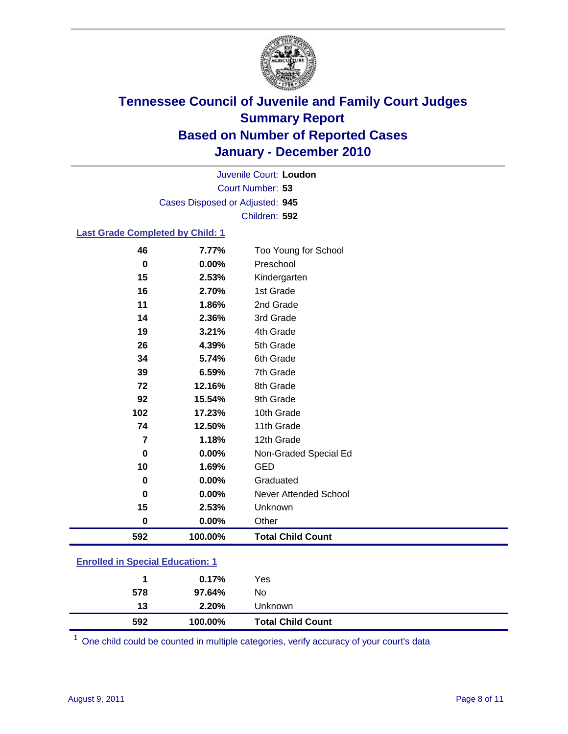

Court Number: **53** Juvenile Court: **Loudon** Cases Disposed or Adjusted: **945** Children: **592**

### **Last Grade Completed by Child: 1**

| 46                                      | 7.77%   | Too Young for School         |
|-----------------------------------------|---------|------------------------------|
| 0                                       | 0.00%   | Preschool                    |
| 15                                      | 2.53%   | Kindergarten                 |
| 16                                      | 2.70%   | 1st Grade                    |
| 11                                      | 1.86%   | 2nd Grade                    |
| 14                                      | 2.36%   | 3rd Grade                    |
| 19                                      | 3.21%   | 4th Grade                    |
| 26                                      | 4.39%   | 5th Grade                    |
| 34                                      | 5.74%   | 6th Grade                    |
| 39                                      | 6.59%   | 7th Grade                    |
| 72                                      | 12.16%  | 8th Grade                    |
| 92                                      | 15.54%  | 9th Grade                    |
| 102                                     | 17.23%  | 10th Grade                   |
| 74                                      | 12.50%  | 11th Grade                   |
| 7                                       | 1.18%   | 12th Grade                   |
| 0                                       | 0.00%   | Non-Graded Special Ed        |
| 10                                      | 1.69%   | <b>GED</b>                   |
| 0                                       | 0.00%   | Graduated                    |
| 0                                       | 0.00%   | <b>Never Attended School</b> |
| 15                                      | 2.53%   | Unknown                      |
| 0                                       | 0.00%   | Other                        |
| 592                                     | 100.00% | <b>Total Child Count</b>     |
| <b>Enrolled in Special Education: 1</b> |         |                              |

|  | Enrolled in Special Education: 1 |
|--|----------------------------------|
|--|----------------------------------|

| 592 | 100.00% | <b>Total Child Count</b> |  |
|-----|---------|--------------------------|--|
| 13  | 2.20%   | Unknown                  |  |
| 578 | 97.64%  | No.                      |  |
|     | 0.17%   | Yes                      |  |

One child could be counted in multiple categories, verify accuracy of your court's data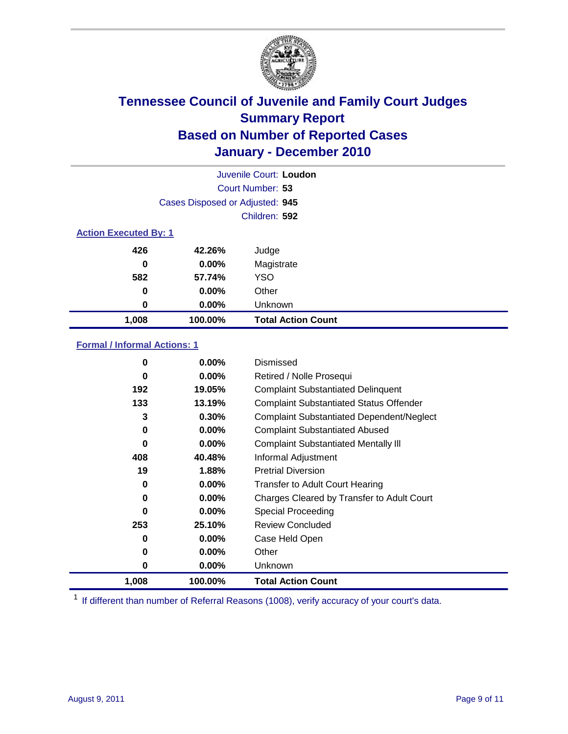

|                              |                                 | Juvenile Court: Loudon    |
|------------------------------|---------------------------------|---------------------------|
|                              |                                 | Court Number: 53          |
|                              | Cases Disposed or Adjusted: 945 |                           |
|                              |                                 | Children: 592             |
| <b>Action Executed By: 1</b> |                                 |                           |
| 426                          | 42.26%                          | Judge                     |
| 0                            | $0.00\%$                        | Magistrate                |
| 582                          | 57.74%                          | <b>YSO</b>                |
| 0                            | $0.00\%$                        | Other                     |
| 0                            | 0.00%                           | Unknown                   |
| 1,008                        | 100.00%                         | <b>Total Action Count</b> |

### **Formal / Informal Actions: 1**

| 0     | $0.00\%$ | Dismissed                                        |
|-------|----------|--------------------------------------------------|
| 0     | $0.00\%$ | Retired / Nolle Prosequi                         |
| 192   | 19.05%   | <b>Complaint Substantiated Delinquent</b>        |
| 133   | 13.19%   | <b>Complaint Substantiated Status Offender</b>   |
| 3     | 0.30%    | <b>Complaint Substantiated Dependent/Neglect</b> |
| 0     | $0.00\%$ | <b>Complaint Substantiated Abused</b>            |
| 0     | $0.00\%$ | <b>Complaint Substantiated Mentally III</b>      |
| 408   | 40.48%   | Informal Adjustment                              |
| 19    | 1.88%    | <b>Pretrial Diversion</b>                        |
| 0     | $0.00\%$ | <b>Transfer to Adult Court Hearing</b>           |
| 0     | $0.00\%$ | Charges Cleared by Transfer to Adult Court       |
| 0     | $0.00\%$ | Special Proceeding                               |
| 253   | 25.10%   | <b>Review Concluded</b>                          |
| 0     | $0.00\%$ | Case Held Open                                   |
| 0     | $0.00\%$ | Other                                            |
| 0     | $0.00\%$ | <b>Unknown</b>                                   |
| 1,008 | 100.00%  | <b>Total Action Count</b>                        |

<sup>1</sup> If different than number of Referral Reasons (1008), verify accuracy of your court's data.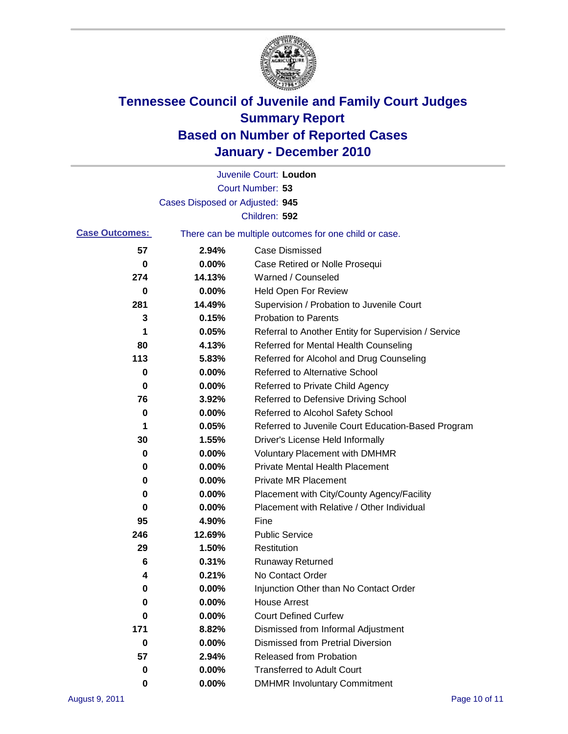

|                       |                                                       | Juvenile Court: Loudon                               |
|-----------------------|-------------------------------------------------------|------------------------------------------------------|
|                       |                                                       | Court Number: 53                                     |
|                       | Cases Disposed or Adjusted: 945                       |                                                      |
|                       |                                                       | Children: 592                                        |
| <b>Case Outcomes:</b> | There can be multiple outcomes for one child or case. |                                                      |
| 57                    | 2.94%                                                 | <b>Case Dismissed</b>                                |
| 0                     | 0.00%                                                 | Case Retired or Nolle Prosequi                       |
| 274                   | 14.13%                                                | Warned / Counseled                                   |
| 0                     | 0.00%                                                 | <b>Held Open For Review</b>                          |
| 281                   | 14.49%                                                | Supervision / Probation to Juvenile Court            |
| 3                     | 0.15%                                                 | <b>Probation to Parents</b>                          |
| 1                     | 0.05%                                                 | Referral to Another Entity for Supervision / Service |
| 80                    | 4.13%                                                 | Referred for Mental Health Counseling                |
| 113                   | 5.83%                                                 | Referred for Alcohol and Drug Counseling             |
| 0                     | 0.00%                                                 | <b>Referred to Alternative School</b>                |
| 0                     | 0.00%                                                 | Referred to Private Child Agency                     |
| 76                    | 3.92%                                                 | Referred to Defensive Driving School                 |
| 0                     | 0.00%                                                 | Referred to Alcohol Safety School                    |
| 1                     | 0.05%                                                 | Referred to Juvenile Court Education-Based Program   |
| 30                    | 1.55%                                                 | Driver's License Held Informally                     |
| 0                     | 0.00%                                                 | <b>Voluntary Placement with DMHMR</b>                |
| 0                     | 0.00%                                                 | <b>Private Mental Health Placement</b>               |
| 0                     | 0.00%                                                 | <b>Private MR Placement</b>                          |
| 0                     | 0.00%                                                 | Placement with City/County Agency/Facility           |
| 0                     | 0.00%                                                 | Placement with Relative / Other Individual           |
| 95                    | 4.90%                                                 | Fine                                                 |
| 246                   | 12.69%                                                | <b>Public Service</b>                                |
| 29                    | 1.50%                                                 | Restitution                                          |
| 6                     | 0.31%                                                 | <b>Runaway Returned</b>                              |
| 4                     | 0.21%                                                 | No Contact Order                                     |
| 0                     | 0.00%                                                 | Injunction Other than No Contact Order               |
| 0                     | 0.00%                                                 | <b>House Arrest</b>                                  |
| 0                     | 0.00%                                                 | <b>Court Defined Curfew</b>                          |
| 171                   | 8.82%                                                 | Dismissed from Informal Adjustment                   |
| 0                     | 0.00%                                                 | <b>Dismissed from Pretrial Diversion</b>             |
| 57                    | 2.94%                                                 | Released from Probation                              |
| 0                     | 0.00%                                                 | <b>Transferred to Adult Court</b>                    |
| 0                     | $0.00\%$                                              | <b>DMHMR Involuntary Commitment</b>                  |